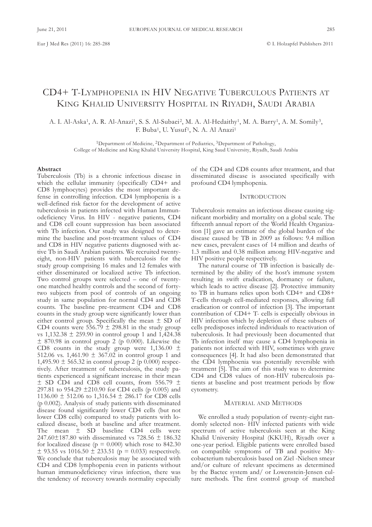# CD4+ T-LyMPHoPEnIa In HIV nEgaTIVE TubERCuLous PaTIEnTs aT KING KHALID UNIVERSITY HOSPITAL IN RIYADH, SAUDI ARABIA

a. I. al-aska1, a. R. al-anazi1, s. s. al-subaei2, M. a. al-Hedaithy1, M. a. barry1, a. M. somily3, F. Buba<sup>1</sup>, U. Yusuf<sup>1</sup>, N. A. Al Anazi<sup>1</sup>

<sup>1</sup>Department of Medicine, <sup>2</sup>Department of Pediatrics, <sup>3</sup>Department of Pathology, College of Medicine and King Khalid University Hospital, King Saud University, Riyadh, Saudi Arabia

#### **Abstract**

Tuberculosis (Tb) is a chronic infectious disease in which the cellular immunity (specifically CD4+ and CD8 lymphocytes) provides the most important defense in controlling infection. CD4 lymphopenia is a well-defined risk factor for the development of active tuberculosis in patients infected with Human Immunodeficiency Virus. In HIV - negative patients, CD4 and CD8 cell count suppression has been associated with Tb infection. Our study was designed to determine the baseline and post-treatment values of CD4 and CD8 in HIV negative patients diagnosed with active Tb in Saudi Arabian patients. We recruited twentyeight, non-HIV patients with tuberculosis for the study group comprising 16 males and 12 females with either disseminated or localized active Tb infection. Two control groups were selected – one of twentyone matched healthy controls and the second of fortytwo subjects from pool of controls of an ongoing study in same population for normal CD4 and CD8 counts. The baseline pre-treatment CD4 and CD8 counts in the study group were significantly lower than either control group. Specifically the mean  $\pm$  SD of CD4 counts were  $556.79 \pm 298.81$  in the study group vs 1,132.38 ± 259.90 in control group 1 and 1,424.38  $\pm$  870.98 in control group 2 (p 0.000). Likewise the CD8 counts in the study group were  $1,136.00 \pm$ 512.06 vs. 1,461.90  $\pm$  367.02 in control group 1 and 1,495.90  $\pm$  565.32 in control group 2 (p 0.000) respectively. After treatment of tuberculosis, the study patients experienced a significant increase in their mean  $\pm$  SD CD4 and CD8 cell counts, from 556.79  $\pm$ 297.81 to 954.29 ±210.90 for CD4 cells (p 0.005) and 1136.00  $\pm$  512.06 to 1,316.54  $\pm$  286.17 for CD8 cells ( $p$  0.002). Analysis of study patients with disseminated disease found significantly lower CD4 cells (but not lower CD8 cells) compared to study patients with localized disease, both at baseline and after treatment. The mean  $\pm$  SD baseline CD4 cells were 247.60±187.80 with disseminated vs 728.56 ± 186.32 for localized disease ( $p = 0.000$ ) which rose to 842.30  $\pm$  93.55 vs 1016.50  $\pm$  233.51 (p = 0.033) respectively. We conclude that tuberculosis may be associated with CD4 and CD8 lymphopenia even in patients without human immunodeficiency virus infection, there was the tendency of recovery towards normality especially

of the CD4 and CD8 counts after treatment, and that disseminated disease is associated specifically with profound CD4 lymphopenia.

## **INTRODUCTION**

Tuberculosis remains an infectious disease causing significant morbidity and mortality on a global scale. The fifteenth annual report of the World Health Organization [1] gave an estimate of the global burden of the disease caused by TB in 2009 as follows: 9.4 million new cases, prevalent cases of 14 million and deaths of 1.3 million and 0.38 million among HIV-negative and HIV positive people respectively.

The natural course of TB infection is basically determined by the ability of the host's immune system resulting in swift eradication, dormancy or failure, which leads to active disease [2]. Protective immunity to TB in humans relies upon both CD4+ and CD8+ T-cells through cell-mediated responses, allowing full eradication or control of infection [3]. The important contribution of CD4+ T- cells is especially obvious in HIV infection which by depletion of these subsets of cells predisposes infected individuals to reactivation of tuberculosis. It had previously been documented that Tb infection itself may cause a CD4 lymphopenia in patients not infected with HIV, sometimes with grave consequences [4]. It had also been demonstrated that the CD4 lymphoenia was potentially reversible with treatment [5]. The aim of this study was to determine CD4 and CD8 values of non-HIV tuberculosis patients at baseline and post treatment periods by flow cytometry.

## MaTERIaL anD METHoDs

We enrolled a study population of twenty-eight randomly selected non- HIV infected patients with wide spectrum of active tuberculosis seen at the King Khalid university Hospital (KKuH), Riyadh over a one-year period. Eligible patients were enrolled based on compatible symptoms of TB and positive Mycobacterium tuberculosis based on Ziel -Nielsen smear and/or culture of relevant specimens as determined by the bactec system and/ or Lowenstein-Jensen culture methods. The first control group of matched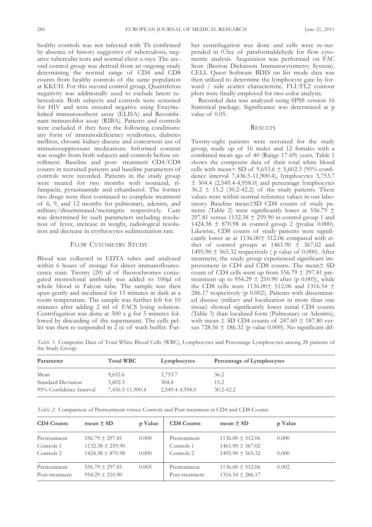healthy controls was not infected with Tb confirmed by absence of history suggestive of tuberculosis, negative tuberculin tests and normal chest x-rays. The second control group was derived from an ongoing study determining the normal range of CD4 and CD8 counts from healthy controls of the same population at KKuH. For this second control group, Quantiferon negativity was additionally used to exclude latent tuberculosis. both subjects and controls were screened for HIV and were ensured negative using Enzymelinked immunosorbent assay (ELISA) and Recombinant immunoblot assay (RIba). Patients and controls were excluded if they have the following conditions: any form of immunodeficiency syndromes, diabetes mellitus, chronic kidney disease and concurrent use of immunosuppressant medications. Informed consent was sought from both subjects and controls before enrollment. baseline and post- treatment CD4/CD8 counts in recruited patients and baseline parameters of controls were recorded. Patients in the study group were treated for two months with isoniazid, rifampicin, pyrazinamide and ethambutol. The former two drugs were then continued to complete treatment of 6, 9, and 12 months for pulmonary, adenitis, and military/disseminated/meningitis respectively. Cure was determined by such parameters including resolution of fever, increase in weight, radiological resolution and decrease in erythrocytes sedimentation rate.

## FLOW CYTOMETRY STUDY

Blood was collected in EDTA tubes and analyzed within 6 hours of storage for direct immunoflourescence stain. Twenty (20) ul of fluorochromes conjugated monoclonal antibody was added to 100µl of whole blood in Falcon tube. The sample was then spun gently and incubated for 15 minutes in dark at a room temperature. The sample was further left for 10 minutes after adding 2 ml of FACS lysing solution. Centrifugation was done at 500 x g for 5 minutes followed by discarding of the supernatant. The cells pellet was then re-suspended in 2 cc of wash buffer. Furher centrifugation was done and cells were re-suspended in 0.5cc of paraformaldehyde for flow cytometric analysis. Acquisition was performed on FAC scan (becton Dickinson Immunocytometry system). CELL Quest Software BDIS on list mode data was then utilized to determine the lymphocyte gate by forward / side scatter characteristic. FLI/FL2 contour plots were finally employed for two-color analysis.

Recorded data was analyzed using sPss version 16 statistical package. significance was determined at p value of 0.05.

## **RESULTS**

Twenty-eight patients were recruited for the study group, made up of 16 males and 12 females with a combined mean age of 40 (Range 17-69) years. Table 1 shows the composite data of their total white blood cells with mean+ SD of  $9,653.6 \pm 5,602.3$  (95% confidence interval 7,436.5-11,900.4), lymphocytes 3,753.7  $±$  304.4 (2,549.4-4,958.0) and percentage lymphocytes  $36.2 \pm 15.2$  (30.2-42.2) of the study patients. These values were within normal reference values in our laboratory. baseline mean±sD CD4 counts of study patients (Table 2) were significantly lower at 556.79  $\pm$ 297.81 versus  $1132.38 \pm 259.90$  in control group 1 and 1424.38  $\pm$  870.98 in control group 2 (pvalue 0.000). Likewise, CD8 counts of study patients were significantly lower as at 1136.00± 512.06 compared with either of control groups at  $1461.90 \pm 367.02$  and 1495.90  $\pm$  565.32 respectively (p value of 0.000). After treatment, the study group experienced significant improvement in CD4 and CD8 counts. The mean± sD count of CD4 cells went up from 556.79 ± 297.81 pretreatment up to  $954.29 \pm 210.90$  after (p 0.005), while the CD8 cells were  $1136.00 \pm 512.06$  and  $1316.54 \pm 10.52$ 286.17 respectively (p 0.002). Patients with disseminated disease (miliary and localization in more than one tissue) showed significantly lower initial CD4 counts (Table 3) than localized form (Pulmonary or Adenitis), with mean  $\pm$  SD CD4 counts of 247.60  $\pm$  187.80 versus 728.56  $\pm$  186.32 (p value 0.000). No significant dif-

*Table* 1. Composite Data of Total White Blood Cells (WBC), Lymphocytes and Percentage Lymphocytes among 28 patients of the Study Group.

| Parameter               | <b>Total WBC</b> | Lymphocytes     | Percentage of Lymphocytes |  |
|-------------------------|------------------|-----------------|---------------------------|--|
| Mean                    | 9,652.6          | 3,753.7         | 36.2                      |  |
| Standard Deviation      | 5,602.3          | 304.4           | 15.2                      |  |
| 95% Confidence Interval | 7,436.5-11,900.4 | 2,549.4-4,958.0 | $30.2 - 42.2$             |  |

*Table 2.* Comparison of Pretreatment versus Controls and Post-treatment in CD4 and CD8 Counts

| <b>CD4 Counts</b>              | mean $\pm$ SD                               | p Value | <b>CD8 Counts</b>              | mean $\pm$ SD                                | p Value |
|--------------------------------|---------------------------------------------|---------|--------------------------------|----------------------------------------------|---------|
| Pretreatment<br>Controls 1     | $556.79 \pm 297.81$<br>$1132.38 \pm 259.90$ | 0.000   | Pretreatment<br>Controls 1     | $1136.00 \pm 512.06$<br>$1461.90 \pm 367.02$ | 0.000   |
| Controls 2                     | $1424.38 \pm 870.98$                        | 0.000   | Controls 2                     | $1495.90 \pm 565.32$                         | 0.000   |
| Pretreatment<br>Post-treatment | $556.79 \pm 297.81$<br>$954.29 \pm 210.90$  | 0.005   | Pretreatment<br>Post-treatment | $1136.00 \pm 512.06$<br>$1316.54 \pm 286.17$ | 0.002   |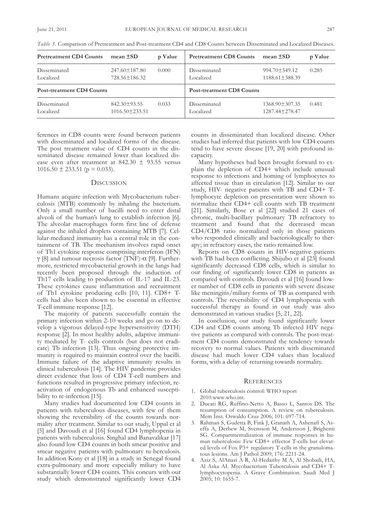| <b>Pretreatment CD4 Counts</b>   | mean $\pm SD$                              | p Value | <b>Pretreatment CD8 Counts</b>   | mean $\pm SD$                               | p Value |  |
|----------------------------------|--------------------------------------------|---------|----------------------------------|---------------------------------------------|---------|--|
| Disseminated<br>Localized        | $247.60 \pm 187.80$<br>728.56±186.32       | 0.000   | Disseminated<br>Localized        | $994.70 \pm 549.12$<br>$1188.61 \pm 388.39$ | 0.285   |  |
| <b>Post-treatment CD4 Counts</b> |                                            |         | <b>Post-treatment CD8 Counts</b> |                                             |         |  |
| Disseminated<br>Localized        | $842.30 \pm 93.55$<br>$1016.50 \pm 233.51$ | 0.033   | Disseminated<br>Localized        | $1368.90 \pm 307.35$<br>1287.44 ± 278.47    | 0.481   |  |

*Table 3.* Comparison of Pretreatment and Post-treatment CD4 and CD8 Counts between Disseminated and Localized Diseases.

ferences in CD8 counts were found between patients with disseminated and localized forms of the disease. The post treatment value of CD4 counts in the disseminated disease remained lower than localized disease even after treatment at 842.30  $\pm$  93.55 versus  $1016.50 \pm 233.51$  (p = 0.033).

## **DISCUSSION**

Humans acquire infection with Mycobacterium tuberculosis (MTb) commonly by inhaling the bacterium. Only a small number of bacilli need to enter distal alveoli of the human's lung to establish infection [6]. The alveolar macrophages form first line of defense against the inhaled droplets containing MTb [7]. Cellular-mediated immunity has a central role in the containment of Tb. The mechanism involves rapid onset of Th1 cytokine response comprising interferon (IFn) γ [8] and tumour necrosis factor (TNF)- $\alpha$  [9]. Furthermore, restricted mycobacterial growth in the lungs had recently been proposed through the induction of Th17 cells leading to production of IL-17 and IL-23. These cytokines cause inflammation and recruitment of Th1 cytokine producing cells [10, 11]. CD8+ Tcells had also been shown to be essential in effective T-cell immune response [12].

The majority of patients successfully contain the primary infection within 2-10 weeks and go on to develop a vigorous delayed-type hypersensitivity (DTH) response [2]. In most healthy adults, adaptive immunity mediated by T- cells controls (but does not eradicate) Tb infection [13]. Thus ongoing protective immunity is required to maintain control over the bacilli. Immune failure of the adaptive immunity results in clinical tuberculosis [14]. The HIV pandemic provides direct evidence that loss of CD4 T-cell numbers and functions resulted in progressive primary infection, reactivation of endogenous Tb and enhanced susceptibility to re-infection [15].

Many studies had documented low CD4 counts in patients with tuberculous diseases, with few of them showing the reversibility of the counts towards normality after treatment. Similar to our study, Uppal et al [5] and Davoudi et al [16] found CD4 lymphopenia in patients with tuberculosis. Singhal and Banavalikar [17] also found low CD4 counts in both smear positive and smear negative patients with pulmonary tu-berculosis. In addition Kony et al [18] in a study in Senegal found extra-pulmonary and more especially miliary to have substantially lower CD4 counts. This concurs with our study which demonstrated significantly lower CD4

counts in disseminated than localized disease. other studies had inferred that patients with low CD4 counts tend to have severe disease [19, 20] with profound incapacity.

Many hypotheses had been brought forward to explain the depletion of CD4+ which include unusual response to infections and homing of lymphocytes to affected tissue than in circulation [12]. similar to our study, HIV- negative patients with TB and CD4+ Tlymphocyte depletion on presentation were shown to normalize their CD4+ cell counts with TB treatment [21]. similarly, bose et al [22] studied 21 cases of chronic, multi-bacillary pulmonary TB refractory to treatment and found that the decreased mean CD4/CD8 ratio normalized only in those patients who responded clinically and bacteriologically to therapy; in refractory cases, the ratio remained low.

Reports on CD8 counts in HIV-negative patients with TB had been conflicting. Shijubo et al [23] found significantly decreased CD8 cells, which is similar to our finding of significantly lower CD8 in patients as compared with controls. Davoudi et al [16] found lower number of CD8 cells in patients with severe disease like meningitis/miliary forms of TB as compared with controls. The reversibility of CD4 lymphopenia with successful therapy as found in our study was also demonstrated in various studies [5, 21, 22].

In conclusion, our study found significantly lower CD4 and CD8 counts among Tb infected HIV negative patients as compared with controls. The post-treatment CD4 counts demonstrated the tendency towards recovery to normal values. Patients with disseminated disease had much lower CD4 values than localized forms, with a delay of returning towards normality.

## **REFERENCES**

- 1. Global tuberculosis control: WHO report 2010.www.who.int.
- 2. Ducati RG, Ruffino-Netto A, Basso L, Santos DS. The resumption of consumption. A review on tuberculosis. Mem Inst. Oswaldo Cruz 2006; 101: 697-714.
- 3. Rahman S, Gudetta B, Fink J, Granath A, Ashenafi S, Aseffa a, Derbew M, svensson M, andersson J, brighenti SG. Compartmentalization of immune responses in human tuberculosis: Few CD8+ effector T-cells but elevated levels of Fox P3+ regulatory T-cells in the granulomatous lesions. Am J Pathol 2009; 176: 2211-24.
- 4. aziz s, alanazi a R, al-Hedaithy M a, al shobaili, Ha, Al Aska AI. Mycobacterium Tuberculosis and CD4+ Tlymphocytopenia. A Grave Combination. Saudi Med J 2005; 10: 1655-7.